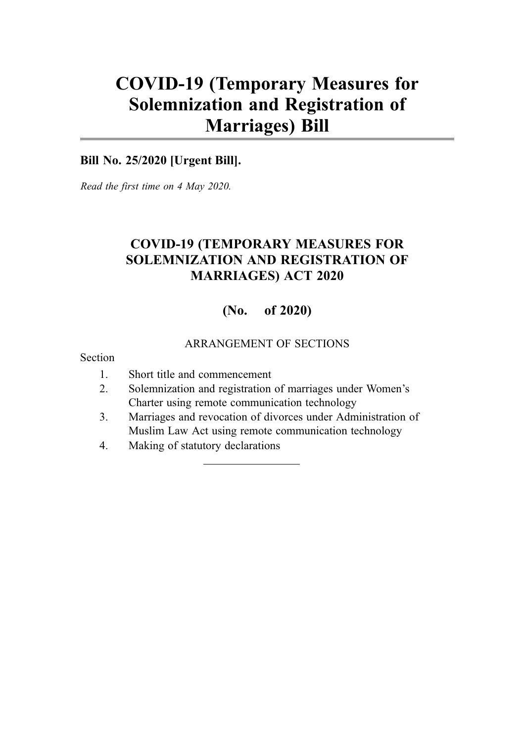# COVID-19 (Temporary Measures for Solemnization and Registration of Marriages) Bill

#### **Bill No. 25/2020 [Urgent Bill].**

*Read the first time on 4 May 2020.*

## COVID-19 (TEMPORARY MEASURES FOR SOLEMNIZATION AND REGISTRATION OF MARRIAGES) ACT 2020

#### (No. of 2020)

#### ARRANGEMENT OF SECTIONS

Section

- 1. Short title and commencement
- 2. Solemnization and registration of marriages under Women's Charter using remote communication technology
- 3. Marriages and revocation of divorces under Administration of Muslim Law Act using remote communication technology
- 4. Making of statutory declarations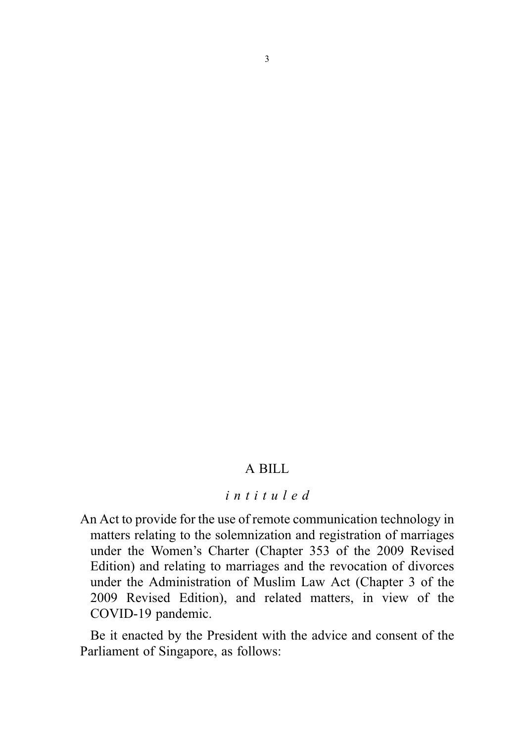#### A BILL

#### intituled

An Act to provide for the use of remote communication technology in matters relating to the solemnization and registration of marriages under the Women's Charter (Chapter 353 of the 2009 Revised Edition) and relating to marriages and the revocation of divorces under the Administration of Muslim Law Act (Chapter 3 of the 2009 Revised Edition), and related matters, in view of the COVID-19 pandemic.

Be it enacted by the President with the advice and consent of the Parliament of Singapore, as follows: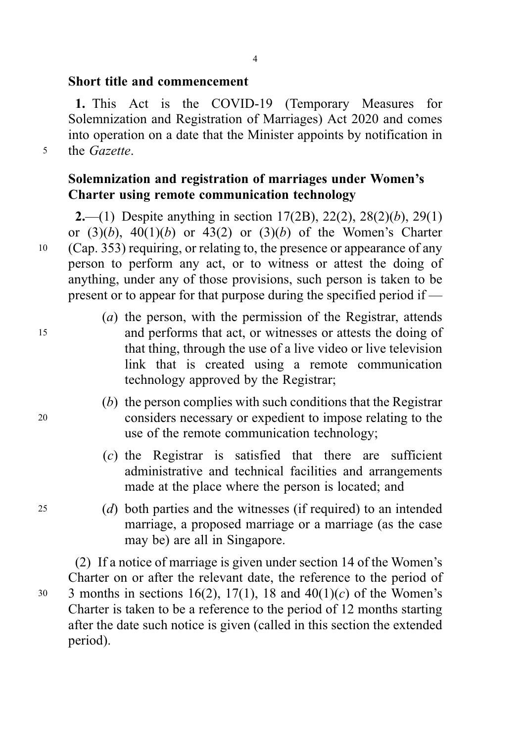1. This Act is the COVID-19 (Temporary Measures for Solemnization and Registration of Marriages) Act 2020 and comes into operation on a date that the Minister appoints by notification in <sup>5</sup> the Gazette.

Solemnization and registration of marriages under Women's Charter using remote communication technology

**2.**—(1) Despite anything in section 17(2B), 22(2), 28(2)(b), 29(1) or  $(3)(b)$ ,  $40(1)(b)$  or  $43(2)$  or  $(3)(b)$  of the Women's Charter <sup>10</sup> (Cap. 353) requiring, or relating to, the presence or appearance of any person to perform any act, or to witness or attest the doing of anything, under any of those provisions, such person is taken to be present or to appear for that purpose during the specified period if —

- (a) the person, with the permission of the Registrar, attends <sup>15</sup> and performs that act, or witnesses or attests the doing of that thing, through the use of a live video or live television link that is created using a remote communication technology approved by the Registrar;
- (b) the person complies with such conditions that the Registrar <sup>20</sup> considers necessary or expedient to impose relating to the use of the remote communication technology;
	- $(c)$  the Registrar is satisfied that there are sufficient administrative and technical facilities and arrangements made at the place where the person is located; and
- <sup>25</sup> (d) both parties and the witnesses (if required) to an intended marriage, a proposed marriage or a marriage (as the case may be) are all in Singapore.

(2) If a notice of marriage is given under section 14 of the Women's Charter on or after the relevant date, the reference to the period of 30 3 months in sections 16(2), 17(1), 18 and  $40(1)(c)$  of the Women's Charter is taken to be a reference to the period of 12 months starting after the date such notice is given (called in this section the extended period).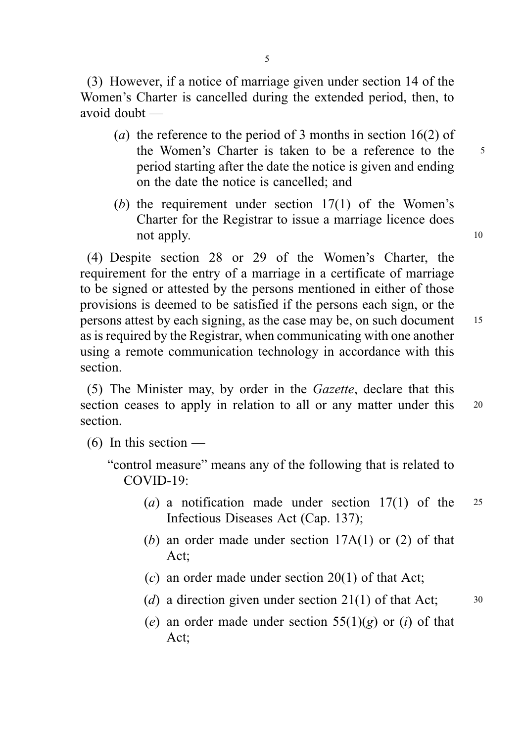(3) However, if a notice of marriage given under section 14 of the Women's Charter is cancelled during the extended period, then, to avoid doubt —

- (a) the reference to the period of 3 months in section 16(2) of the Women's Charter is taken to be a reference to the 5 period starting after the date the notice is given and ending on the date the notice is cancelled; and
- (b) the requirement under section  $17(1)$  of the Women's Charter for the Registrar to issue a marriage licence does not apply. 10

(4) Despite section 28 or 29 of the Women's Charter, the requirement for the entry of a marriage in a certificate of marriage to be signed or attested by the persons mentioned in either of those provisions is deemed to be satisfied if the persons each sign, or the persons attest by each signing, as the case may be, on such document <sup>15</sup> as is required by the Registrar, when communicating with one another using a remote communication technology in accordance with this section.

(5) The Minister may, by order in the Gazette, declare that this section ceases to apply in relation to all or any matter under this 20 section.

- (6) In this section
	- "control measure" means any of the following that is related to COVID-19:
		- (a) a notification made under section  $17(1)$  of the 25 Infectious Diseases Act (Cap. 137);
		- (b) an order made under section  $17A(1)$  or (2) of that Act;
		- $(c)$  an order made under section 20(1) of that Act:
		- (d) a direction given under section 21(1) of that Act;  $30$
		- (e) an order made under section  $55(1)(g)$  or (i) of that Act;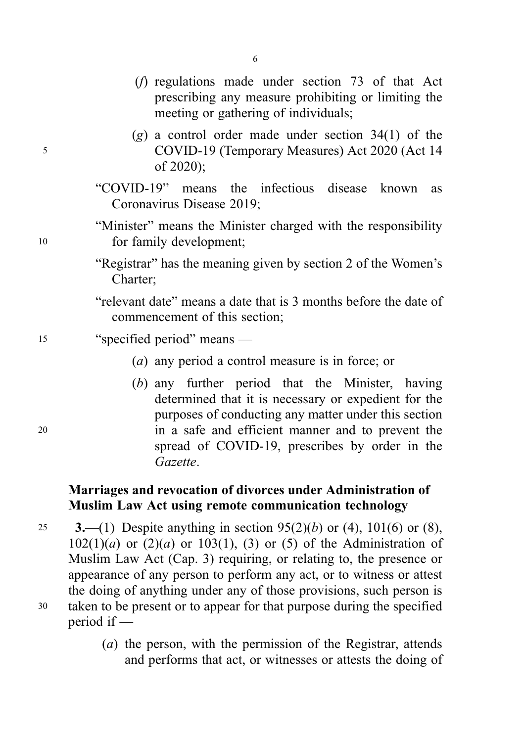- (f) regulations made under section 73 of that Act prescribing any measure prohibiting or limiting the meeting or gathering of individuals;
- $(g)$  a control order made under section 34(1) of the <sup>5</sup> COVID-19 (Temporary Measures) Act 2020 (Act 14 of 2020);
	- "COVID-19" means the infectious disease known as Coronavirus Disease 2019;
- "Minister" means the Minister charged with the responsibility <sup>10</sup> for family development;
	- "Registrar" has the meaning given by section 2 of the Women's Charter;
	- "relevant date" means a date that is 3 months before the date of commencement of this section;
- <sup>15</sup> "specified period" means
	- (a) any period a control measure is in force; or
- (b) any further period that the Minister, having determined that it is necessary or expedient for the purposes of conducting any matter under this section <sup>20</sup> in a safe and efficient manner and to prevent the spread of COVID-19, prescribes by order in the Gazette.

## Marriages and revocation of divorces under Administration of Muslim Law Act using remote communication technology

- 25 3.—(1) Despite anything in section  $95(2)(b)$  or (4), 101(6) or (8),  $102(1)(a)$  or  $(2)(a)$  or  $103(1)$ ,  $(3)$  or  $(5)$  of the Administration of Muslim Law Act (Cap. 3) requiring, or relating to, the presence or appearance of any person to perform any act, or to witness or attest the doing of anything under any of those provisions, such person is <sup>30</sup> taken to be present or to appear for that purpose during the specified period if —
	- (a) the person, with the permission of the Registrar, attends and performs that act, or witnesses or attests the doing of

6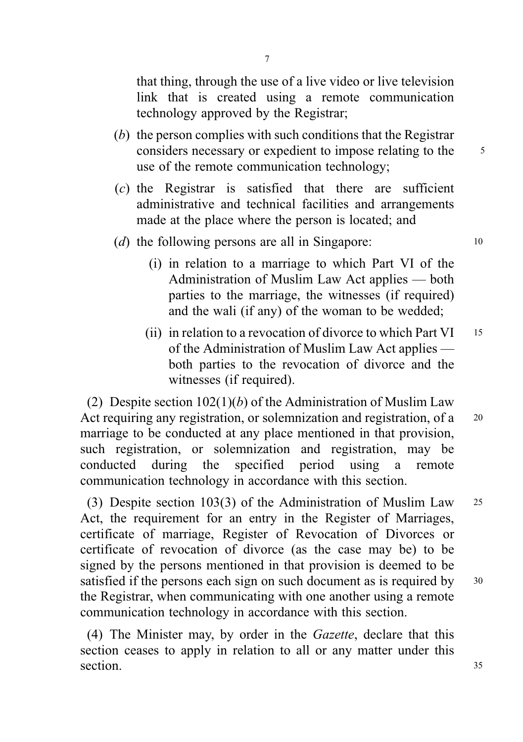that thing, through the use of a live video or live television link that is created using a remote communication technology approved by the Registrar;

- (b) the person complies with such conditions that the Registrar considers necessary or expedient to impose relating to the <sup>5</sup> use of the remote communication technology;
- (c) the Registrar is satisfied that there are sufficient administrative and technical facilities and arrangements made at the place where the person is located; and

#### (d) the following persons are all in Singapore: 10

- (i) in relation to a marriage to which Part VI of the Administration of Muslim Law Act applies — both parties to the marriage, the witnesses (if required) and the wali (if any) of the woman to be wedded;
- (ii) in relation to a revocation of divorce to which Part VI  $15$ of the Administration of Muslim Law Act applies both parties to the revocation of divorce and the witnesses *(if required)*.

(2) Despite section  $102(1)(b)$  of the Administration of Muslim Law Act requiring any registration, or solemnization and registration, of a 20 marriage to be conducted at any place mentioned in that provision, such registration, or solemnization and registration, may be conducted during the specified period using a remote communication technology in accordance with this section.

(3) Despite section 103(3) of the Administration of Muslim Law <sup>25</sup> Act, the requirement for an entry in the Register of Marriages, certificate of marriage, Register of Revocation of Divorces or certificate of revocation of divorce (as the case may be) to be signed by the persons mentioned in that provision is deemed to be satisfied if the persons each sign on such document as is required by  $30$ the Registrar, when communicating with one another using a remote communication technology in accordance with this section.

(4) The Minister may, by order in the Gazette, declare that this section ceases to apply in relation to all or any matter under this section. 35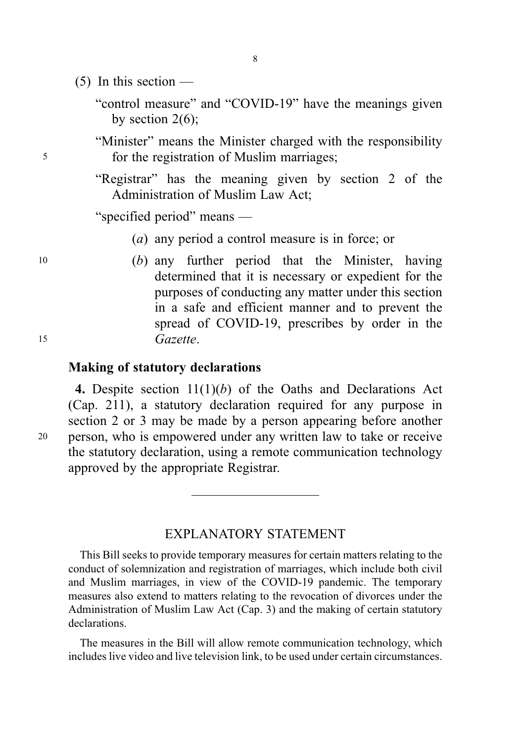$(5)$  In this section —

"control measure" and "COVID-19" have the meanings given by section  $2(6)$ ;

8

"Minister" means the Minister charged with the responsibility <sup>5</sup> for the registration of Muslim marriages;

> "Registrar" has the meaning given by section 2 of the Administration of Muslim Law Act;

"specified period" means —

- (a) any period a control measure is in force; or
- <sup>10</sup> (b) any further period that the Minister, having determined that it is necessary or expedient for the purposes of conducting any matter under this section in a safe and efficient manner and to prevent the spread of COVID-19, prescribes by order in the <sup>15</sup> Gazette.

#### Making of statutory declarations

4. Despite section  $11(1)(b)$  of the Oaths and Declarations Act (Cap. 211), a statutory declaration required for any purpose in section 2 or 3 may be made by a person appearing before another <sup>20</sup> person, who is empowered under any written law to take or receive the statutory declaration, using a remote communication technology approved by the appropriate Registrar.

#### EXPLANATORY STATEMENT

This Bill seeks to provide temporary measures for certain matters relating to the conduct of solemnization and registration of marriages, which include both civil and Muslim marriages, in view of the COVID-19 pandemic. The temporary measures also extend to matters relating to the revocation of divorces under the Administration of Muslim Law Act (Cap. 3) and the making of certain statutory declarations.

The measures in the Bill will allow remote communication technology, which includes live video and live television link, to be used under certain circumstances.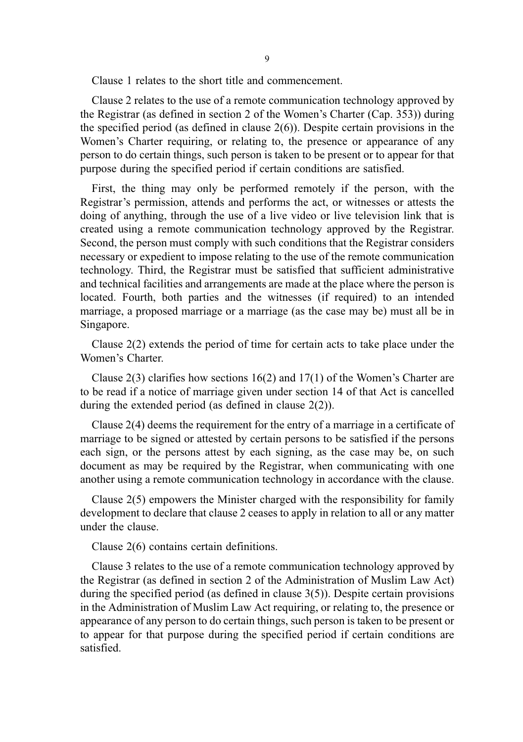Clause 1 relates to the short title and commencement.

Clause 2 relates to the use of a remote communication technology approved by the Registrar (as defined in section 2 of the Women's Charter (Cap. 353)) during the specified period (as defined in clause 2(6)). Despite certain provisions in the Women's Charter requiring, or relating to, the presence or appearance of any person to do certain things, such person is taken to be present or to appear for that purpose during the specified period if certain conditions are satisfied.

First, the thing may only be performed remotely if the person, with the Registrar's permission, attends and performs the act, or witnesses or attests the doing of anything, through the use of a live video or live television link that is created using a remote communication technology approved by the Registrar. Second, the person must comply with such conditions that the Registrar considers necessary or expedient to impose relating to the use of the remote communication technology. Third, the Registrar must be satisfied that sufficient administrative and technical facilities and arrangements are made at the place where the person is located. Fourth, both parties and the witnesses (if required) to an intended marriage, a proposed marriage or a marriage (as the case may be) must all be in Singapore.

Clause 2(2) extends the period of time for certain acts to take place under the Women's Charter.

Clause 2(3) clarifies how sections 16(2) and 17(1) of the Women's Charter are to be read if a notice of marriage given under section 14 of that Act is cancelled during the extended period (as defined in clause 2(2)).

Clause 2(4) deems the requirement for the entry of a marriage in a certificate of marriage to be signed or attested by certain persons to be satisfied if the persons each sign, or the persons attest by each signing, as the case may be, on such document as may be required by the Registrar, when communicating with one another using a remote communication technology in accordance with the clause.

Clause 2(5) empowers the Minister charged with the responsibility for family development to declare that clause 2 ceases to apply in relation to all or any matter under the clause.

Clause 2(6) contains certain definitions.

Clause 3 relates to the use of a remote communication technology approved by the Registrar (as defined in section 2 of the Administration of Muslim Law Act) during the specified period (as defined in clause 3(5)). Despite certain provisions in the Administration of Muslim Law Act requiring, or relating to, the presence or appearance of any person to do certain things, such person is taken to be present or to appear for that purpose during the specified period if certain conditions are satisfied.